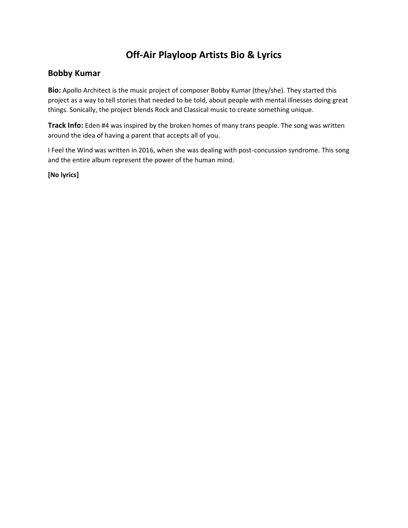# **Off-Air Playloop Artists Bio & Lyrics**

## **Bobby Kumar**

**Bio:** Apollo Architect is the music project of composer Bobby Kumar (they/she). They started this project as a way to tell stories that needed to be told, about people with mental illnesses doing great things. Sonically, the project blends Rock and Classical music to create something unique.

**Track Info:** Eden #4 was inspired by the broken homes of many trans people. The song was written around the idea of having a parent that accepts all of you.

I Feel the Wind was written in 2016, when she was dealing with post-concussion syndrome. This song and the entire album represent the power of the human mind.

**[No lyrics]**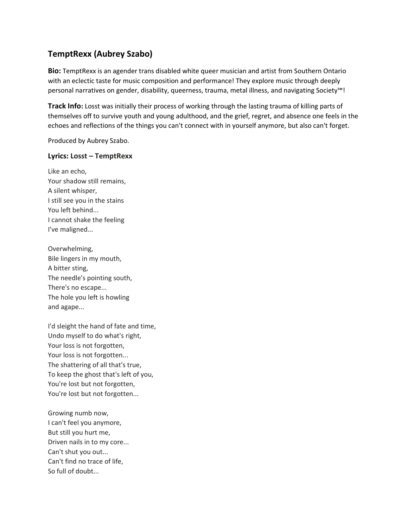## **TemptRexx (Aubrey Szabo)**

**Bio:** TemptRexx is an agender trans disabled white queer musician and artist from Southern Ontario with an eclectic taste for music composition and performance! They explore music through deeply personal narratives on gender, disability, queerness, trauma, metal illness, and navigating Society™!

**Track Info:** Losst was initially their process of working through the lasting trauma of killing parts of themselves off to survive youth and young adulthood, and the grief, regret, and absence one feels in the echoes and reflections of the things you can't connect with in yourself anymore, but also can't forget.

Produced by Aubrey Szabo.

## **Lyrics: Losst – TemptRexx**

Like an echo, Your shadow still remains, A silent whisper, I still see you in the stains You left behind... I cannot shake the feeling I've maligned...

Overwhelming, Bile lingers in my mouth, A bitter sting, The needle's pointing south, There's no escape... The hole you left is howling and agape...

I'd sleight the hand of fate and time, Undo myself to do what's right, Your loss is not forgotten, Your loss is not forgotten... The shattering of all that's true, To keep the ghost that's left of you, You're lost but not forgotten, You're lost but not forgotten...

Growing numb now, I can't feel you anymore, But still you hurt me, Driven nails in to my core... Can't shut you out... Can't find no trace of life, So full of doubt...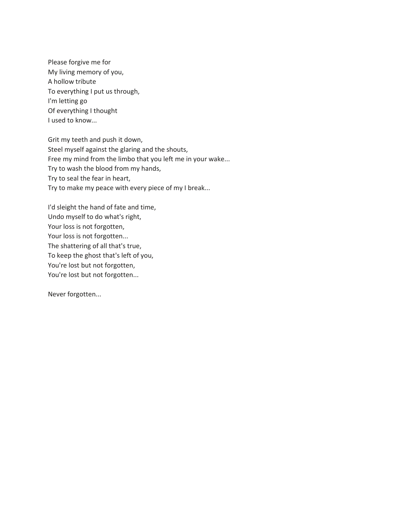Please forgive me for My living memory of you, A hollow tribute To everything I put us through, I'm letting go Of everything I thought I used to know...

Grit my teeth and push it down, Steel myself against the glaring and the shouts, Free my mind from the limbo that you left me in your wake... Try to wash the blood from my hands, Try to seal the fear in heart, Try to make my peace with every piece of my I break...

I'd sleight the hand of fate and time, Undo myself to do what's right, Your loss is not forgotten, Your loss is not forgotten... The shattering of all that's true, To keep the ghost that's left of you, You're lost but not forgotten, You're lost but not forgotten...

Never forgotten...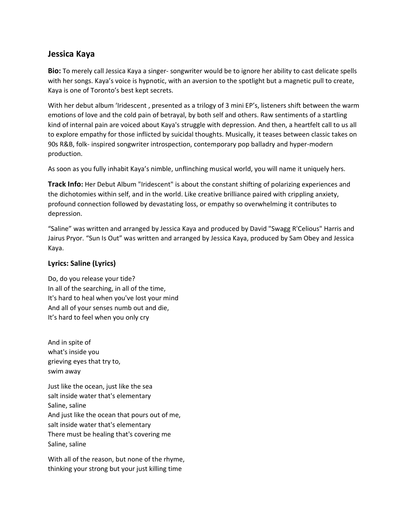## **Jessica Kaya**

**Bio:** To merely call Jessica Kaya a singer- songwriter would be to ignore her ability to cast delicate spells with her songs. Kaya's voice is hypnotic, with an aversion to the spotlight but a magnetic pull to create, Kaya is one of Toronto's best kept secrets.

With her debut album 'Iridescent, presented as a trilogy of 3 mini EP's, listeners shift between the warm emotions of love and the cold pain of betrayal, by both self and others. Raw sentiments of a startling kind of internal pain are voiced about Kaya's struggle with depression. And then, a heartfelt call to us all to explore empathy for those inflicted by suicidal thoughts. Musically, it teases between classic takes on 90s R&B, folk- inspired songwriter introspection, contemporary pop balladry and hyper-modern production.

As soon as you fully inhabit Kaya's nimble, unflinching musical world, you will name it uniquely hers.

**Track Info:** Her Debut Album "Iridescent" is about the constant shifting of polarizing experiences and the dichotomies within self, and in the world. Like creative brilliance paired with crippling anxiety, profound connection followed by devastating loss, or empathy so overwhelming it contributes to depression.

"Saline" was written and arranged by Jessica Kaya and produced by David "Swagg R'Celious" Harris and Jairus Pryor. "Sun Is Out" was written and arranged by Jessica Kaya, produced by Sam Obey and Jessica Kaya.

## **Lyrics: Saline (Lyrics)**

Do, do you release your tide? In all of the searching, in all of the time, It's hard to heal when you've lost your mind And all of your senses numb out and die, It's hard to feel when you only cry

And in spite of what's inside you grieving eyes that try to, swim away

Just like the ocean, just like the sea salt inside water that's elementary Saline, saline And just like the ocean that pours out of me, salt inside water that's elementary There must be healing that's covering me Saline, saline

With all of the reason, but none of the rhyme, thinking your strong but your just killing time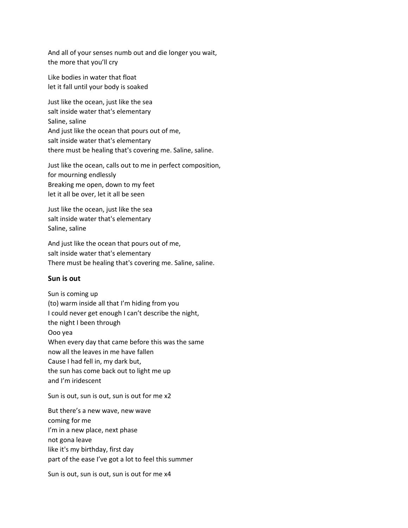And all of your senses numb out and die longer you wait, the more that you'll cry

Like bodies in water that float let it fall until your body is soaked

Just like the ocean, just like the sea salt inside water that's elementary Saline, saline And just like the ocean that pours out of me, salt inside water that's elementary there must be healing that's covering me. Saline, saline.

Just like the ocean, calls out to me in perfect composition, for mourning endlessly Breaking me open, down to my feet let it all be over, let it all be seen

Just like the ocean, just like the sea salt inside water that's elementary Saline, saline

And just like the ocean that pours out of me, salt inside water that's elementary There must be healing that's covering me. Saline, saline.

## **Sun is out**

Sun is coming up (to) warm inside all that I'm hiding from you I could never get enough I can't describe the night, the night I been through Ooo yea When every day that came before this was the same now all the leaves in me have fallen Cause I had fell in, my dark but, the sun has come back out to light me up and I'm iridescent

Sun is out, sun is out, sun is out for me x2

But there's a new wave, new wave coming for me I'm in a new place, next phase not gona leave like it's my birthday, first day part of the ease I've got a lot to feel this summer

Sun is out, sun is out, sun is out for me x4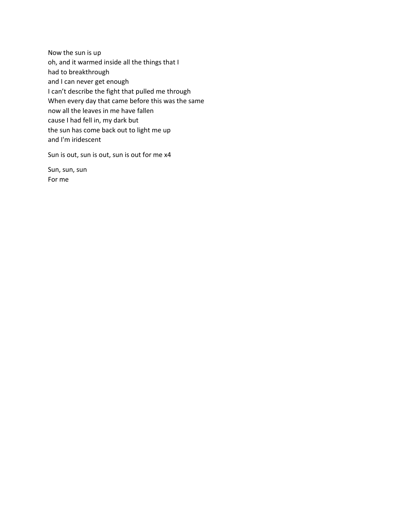Now the sun is up oh, and it warmed inside all the things that I had to breakthrough and I can never get enough I can't describe the fight that pulled me through When every day that came before this was the same now all the leaves in me have fallen cause I had fell in, my dark but the sun has come back out to light me up and I'm iridescent

Sun is out, sun is out, sun is out for me x4

Sun, sun, sun For me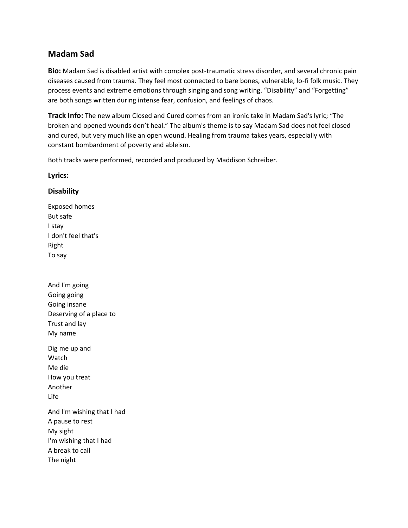## **Madam Sad**

**Bio:** Madam Sad is disabled artist with complex post-traumatic stress disorder, and several chronic pain diseases caused from trauma. They feel most connected to bare bones, vulnerable, lo-fi folk music. They process events and extreme emotions through singing and song writing. "Disability" and "Forgetting" are both songs written during intense fear, confusion, and feelings of chaos.

**Track Info:** The new album Closed and Cured comes from an ironic take in Madam Sad's lyric; "The broken and opened wounds don't heal." The album's theme is to say Madam Sad does not feel closed and cured, but very much like an open wound. Healing from trauma takes years, especially with constant bombardment of poverty and ableism.

Both tracks were performed, recorded and produced by Maddison Schreiber.

## **Lyrics:**

## **Disability**

Exposed homes But safe I stay I don't feel that's Right To say

And I'm going Going going Going insane Deserving of a place to Trust and lay My name Dig me up and Watch Me die How you treat Another Life And I'm wishing that I had A pause to rest My sight I'm wishing that I had A break to call The night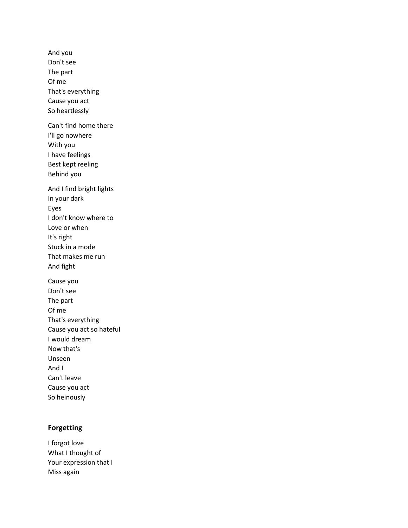And you Don't see The part Of me That's everything Cause you act So heartlessly Can't find home there I'll go nowhere With you I have feelings Best kept reeling Behind you And I find bright lights In your dark Eyes I don't know where to Love or when It's right Stuck in a mode That makes me run And fight Cause you Don't see The part Of me That's everything Cause you act so hateful I would dream Now that's Unseen And I Can't leave Cause you act So heinously

## **Forgetting**

I forgot love What I thought of Your expression that I Miss again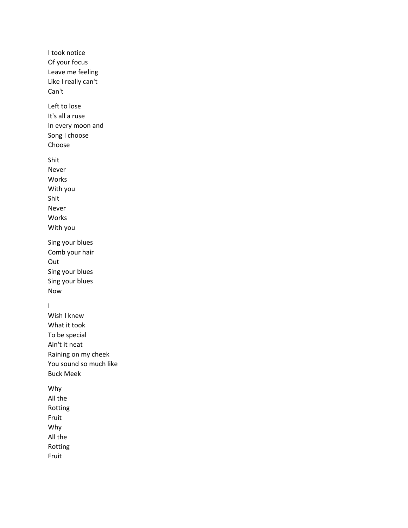I took notice Of your focus Leave me feeling Like I really can't Can't Left to lose It's all a ruse In every moon and Song I choose Choose Shit Never Works With you Shit Never Works With you Sing your blues Comb your hair Out Sing your blues Sing your blues Now I Wish I knew What it took To be special Ain't it neat Raining on my cheek You sound so much like Buck Meek Why All the Rotting Fruit Why All the Rotting Fruit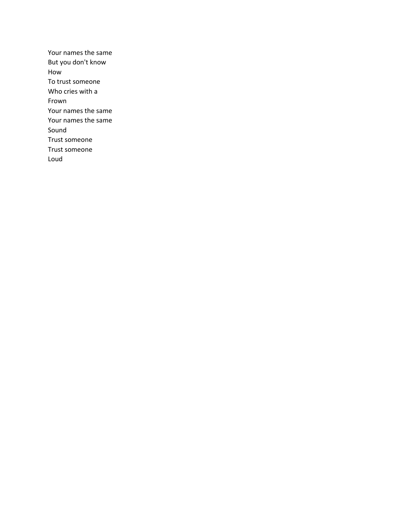Your names the same But you don't know How To trust someone Who cries with a Frown Your names the same Your names the same Sound Trust someone Trust someone Loud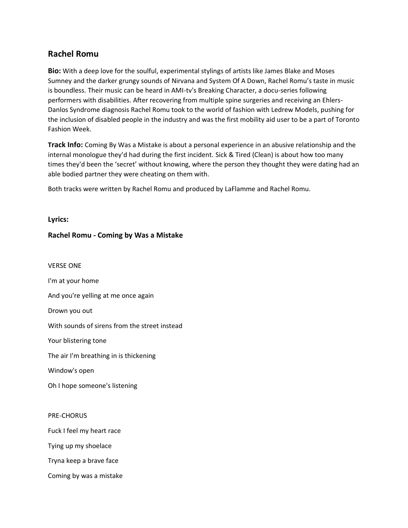## **Rachel Romu**

**Bio:** With a deep love for the soulful, experimental stylings of artists like James Blake and Moses Sumney and the darker grungy sounds of Nirvana and System Of A Down, Rachel Romu's taste in music is boundless. Their music can be heard in AMI-tv's Breaking Character, a docu-series following performers with disabilities. After recovering from multiple spine surgeries and receiving an Ehlers-Danlos Syndrome diagnosis Rachel Romu took to the world of fashion with Ledrew Models, pushing for the inclusion of disabled people in the industry and was the first mobility aid user to be a part of Toronto Fashion Week.

**Track Info:** Coming By Was a Mistake is about a personal experience in an abusive relationship and the internal monologue they'd had during the first incident. Sick & Tired (Clean) is about how too many times they'd been the 'secret' without knowing, where the person they thought they were dating had an able bodied partner they were cheating on them with.

Both tracks were written by Rachel Romu and produced by LaFlamme and Rachel Romu.

**Lyrics:**

## **Rachel Romu - Coming by Was a Mistake**

VERSE ONE I'm at your home And you're yelling at me once again Drown you out With sounds of sirens from the street instead Your blistering tone The air I'm breathing in is thickening Window's open Oh I hope someone's listening PRE-CHORUS Fuck I feel my heart race Tying up my shoelace Tryna keep a brave face

Coming by was a mistake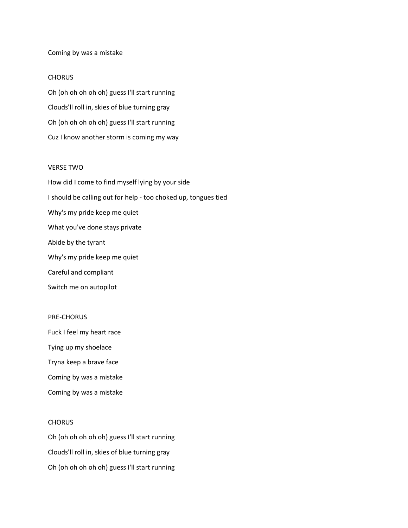#### Coming by was a mistake

#### **CHORUS**

Oh (oh oh oh oh oh) guess I'll start running Clouds'll roll in, skies of blue turning gray Oh (oh oh oh oh oh) guess I'll start running Cuz I know another storm is coming my way

#### VERSE TWO

How did I come to find myself lying by your side I should be calling out for help - too choked up, tongues tied Why's my pride keep me quiet What you've done stays private Abide by the tyrant Why's my pride keep me quiet Careful and compliant Switch me on autopilot

#### PRE-CHORUS

Fuck I feel my heart race Tying up my shoelace Tryna keep a brave face Coming by was a mistake Coming by was a mistake

#### **CHORUS**

Oh (oh oh oh oh oh) guess I'll start running Clouds'll roll in, skies of blue turning gray Oh (oh oh oh oh oh) guess I'll start running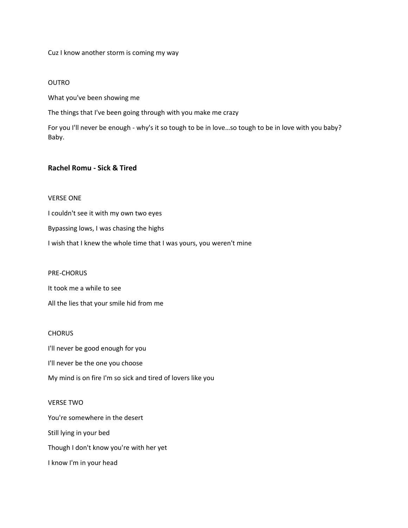Cuz I know another storm is coming my way

#### OUTRO

What you've been showing me

The things that I've been going through with you make me crazy

For you I'll never be enough - why's it so tough to be in love…so tough to be in love with you baby? Baby.

## **Rachel Romu - Sick & Tired**

#### VERSE ONE

I couldn't see it with my own two eyes Bypassing lows, I was chasing the highs I wish that I knew the whole time that I was yours, you weren't mine

PRE-CHORUS

It took me a while to see

All the lies that your smile hid from me

## **CHORUS**

I'll never be good enough for you

I'll never be the one you choose

My mind is on fire I'm so sick and tired of lovers like you

## VERSE TWO

You're somewhere in the desert Still lying in your bed Though I don't know you're with her yet I know I'm in your head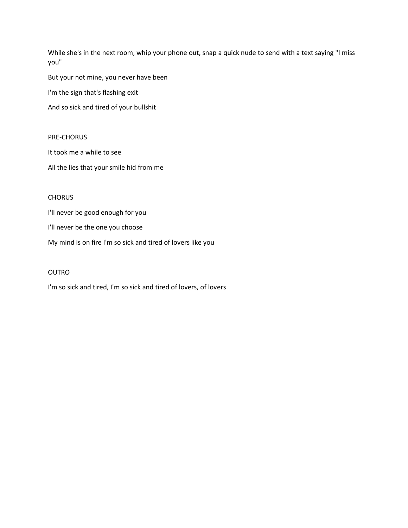While she's in the next room, whip your phone out, snap a quick nude to send with a text saying "I miss you"

But your not mine, you never have been

I'm the sign that's flashing exit

And so sick and tired of your bullshit

## PRE-CHORUS

It took me a while to see

All the lies that your smile hid from me

## **CHORUS**

I'll never be good enough for you

I'll never be the one you choose

My mind is on fire I'm so sick and tired of lovers like you

## OUTRO

I'm so sick and tired, I'm so sick and tired of lovers, of lovers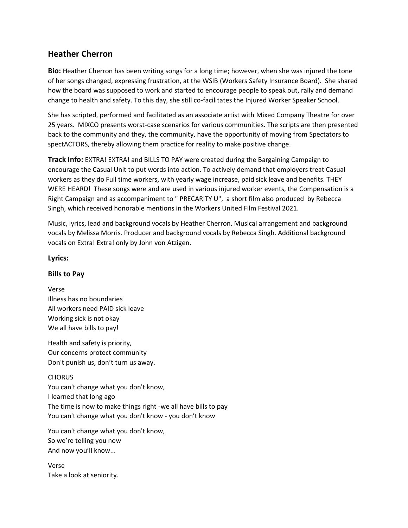## **Heather Cherron**

**Bio:** Heather Cherron has been writing songs for a long time; however, when she was injured the tone of her songs changed, expressing frustration, at the WSIB (Workers Safety Insurance Board). She shared how the board was supposed to work and started to encourage people to speak out, rally and demand change to health and safety. To this day, she still co-facilitates the Injured Worker Speaker School.

She has scripted, performed and facilitated as an associate artist with Mixed Company Theatre for over 25 years. MIXCO presents worst-case scenarios for various communities. The scripts are then presented back to the community and they, the community, have the opportunity of moving from Spectators to spectACTORS, thereby allowing them practice for reality to make positive change.

**Track Info:** EXTRA! EXTRA! and BILLS TO PAY were created during the Bargaining Campaign to encourage the Casual Unit to put words into action. To actively demand that employers treat Casual workers as they do Full time workers, with yearly wage increase, paid sick leave and benefits. THEY WERE HEARD! These songs were and are used in various injured worker events, the Compensation is a Right Campaign and as accompaniment to " PRECARITY U", a short film also produced by Rebecca Singh, which received honorable mentions in the Workers United Film Festival 2021.

Music, lyrics, lead and background vocals by Heather Cherron. Musical arrangement and background vocals by Melissa Morris. Producer and background vocals by Rebecca Singh. Additional background vocals on Extra! Extra! only by John von Atzigen.

## **Lyrics:**

## **Bills to Pay**

Verse Illness has no boundaries All workers need PAID sick leave Working sick is not okay We all have bills to pay!

Health and safety is priority, Our concerns protect community Don't punish us, don't turn us away.

## **CHORUS**

You can't change what you don't know, I learned that long ago The time is now to make things right -we all have bills to pay You can't change what you don't know - you don't know

You can't change what you don't know, So we're telling you now And now you'll know...

Verse Take a look at seniority.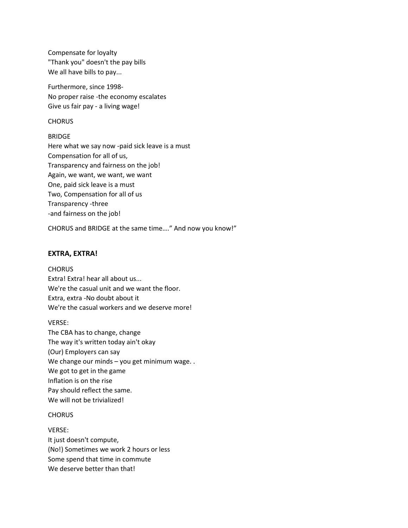Compensate for loyalty "Thank you" doesn't the pay bills We all have bills to pay...

Furthermore, since 1998- No proper raise -the economy escalates Give us fair pay - a living wage!

#### **CHORUS**

#### BRIDGE

Here what we say now -paid sick leave is a must Compensation for all of us, Transparency and fairness on the job! Again, we want, we want, we want One, paid sick leave is a must Two, Compensation for all of us Transparency -three -and fairness on the job!

CHORUS and BRIDGE at the same time…." And now you know!"

## **EXTRA, EXTRA!**

#### **CHORUS**

Extra! Extra! hear all about us... We're the casual unit and we want the floor. Extra, extra -No doubt about it We're the casual workers and we deserve more!

#### VERSE:

The CBA has to change, change The way it's written today ain't okay (Our) Employers can say We change our minds – you get minimum wage. . We got to get in the game Inflation is on the rise Pay should reflect the same. We will not be trivialized!

#### **CHORUS**

VERSE: It just doesn't compute, (No!) Sometimes we work 2 hours or less Some spend that time in commute We deserve better than that!